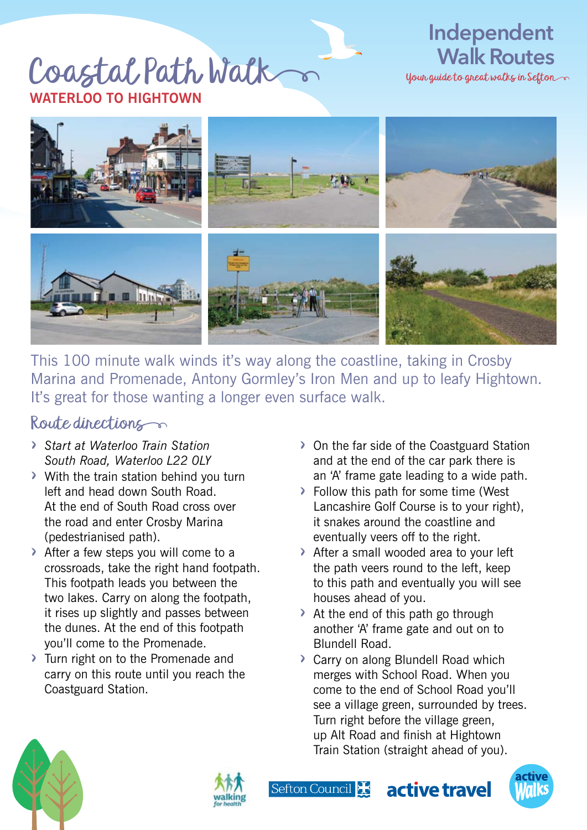## Coastal Path Wal k **WATERLOO TO HIGHTOWN**

## **Independent WalkRoutes**

Your guide to great walks in Sefton



This 100 minute walk winds it's way along the coastline, taking in Crosby Marina and Promenade, Antony Gormley's Iron Men and up to leafy Hightown. It's great for those wanting a longer even surface walk.

## Route directions

- > *Start at Waterloo Train Station South Road, Waterloo L22 0LY*
- > With the train station behind you turn left and head down South Road. At the end of South Road cross over the road and enter Crosby Marina (pedestrianised path).
- > After a few steps you will come to a crossroads, take the right hand footpath. This footpath leads you between the two lakes. Carry on along the footpath, it rises up slightly and passes between the dunes. At the end of this footpath you'll come to the Promenade.
- > Turn right on to the Promenade and carry on this route until you reach the Coastguard Station.
- > On the far side of the Coastguard Station and at the end of the car park there is an 'A' frame gate leading to a wide path.
- > Follow this path for some time (West Lancashire Golf Course is to your right), it snakes around the coastline and eventually veers off to the right.
- > After a small wooded area to your left the path veers round to the left, keep to this path and eventually you will see houses ahead of you.
- > At the end of this path go through another 'A' frame gate and out on to Blundell Road.
- > Carry on along Blundell Road which merges with School Road. When you come to the end of School Road you'll see a village green, surrounded by trees. Turn right before the village green, up Alt Road and finish at Hightown Train Station (straight ahead of you).





Sefton Council & active travel